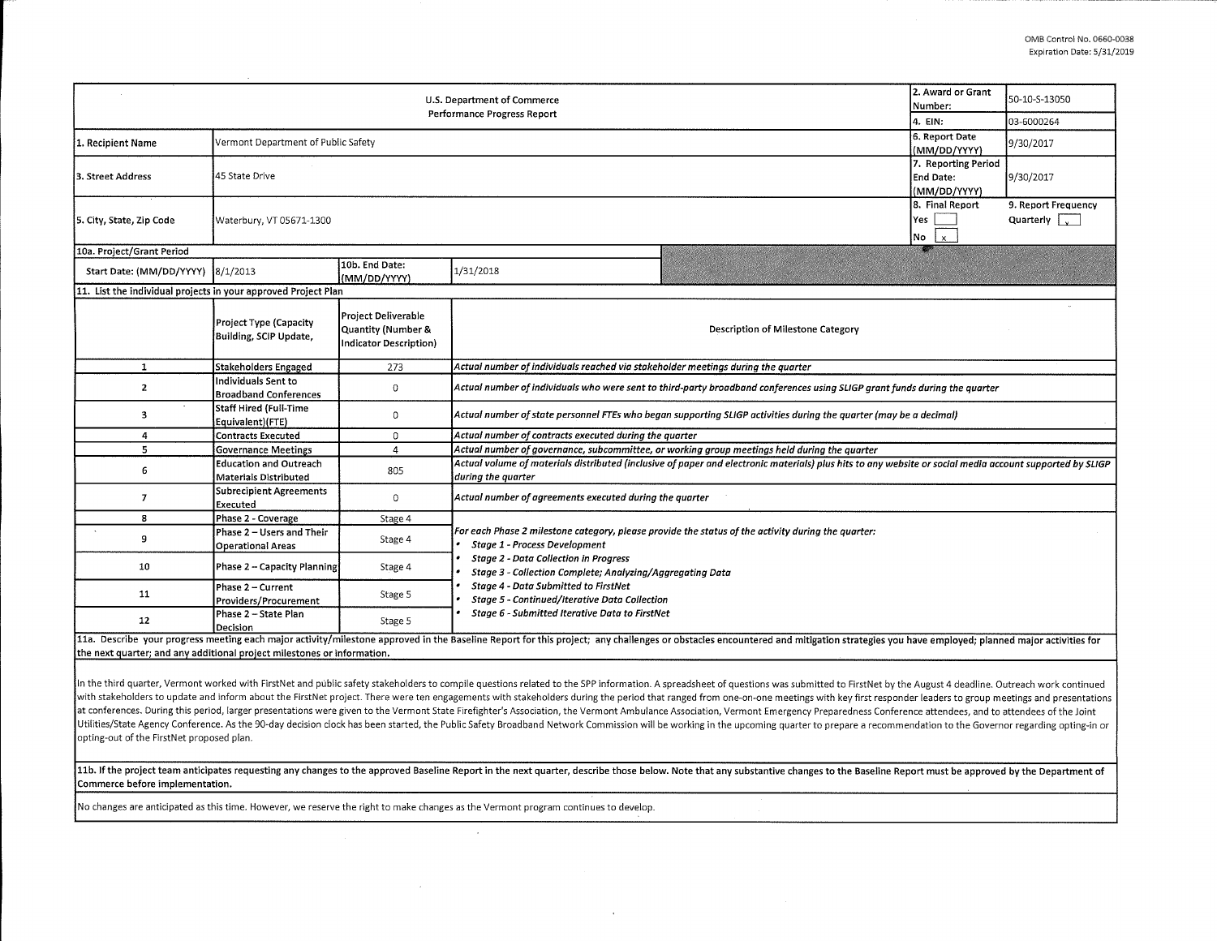| 2. Award or Grant<br>U.S. Department of Commerce<br>Number:<br>Performance Progress Report<br>4. EIN: |                                                               |                                                                     |                                                                                                                                                                                                                                |  | 50-10-S-13050 |  |  |  |  |
|-------------------------------------------------------------------------------------------------------|---------------------------------------------------------------|---------------------------------------------------------------------|--------------------------------------------------------------------------------------------------------------------------------------------------------------------------------------------------------------------------------|--|---------------|--|--|--|--|
|                                                                                                       |                                                               |                                                                     |                                                                                                                                                                                                                                |  | 03-6000264    |  |  |  |  |
| 1. Recipient Name                                                                                     | Vermont Department of Public Safety                           | 6. Report Date<br>(MM/DD/YYYY)                                      | 9/30/2017                                                                                                                                                                                                                      |  |               |  |  |  |  |
| l3. Street Address                                                                                    | 45 State Drive                                                | 7. Reporting Period<br>End Date:<br>(MM/DD/YYYY)                    | 9/30/2017                                                                                                                                                                                                                      |  |               |  |  |  |  |
| 5. City, State, Zip Code                                                                              | Waterbury, VT 05671-1300                                      | 8. Final Report<br>Yes<br>$No$ $x$                                  | 9. Report Frequency<br>Quarterly $\sqrt{v}$                                                                                                                                                                                    |  |               |  |  |  |  |
| 10a. Project/Grant Period                                                                             |                                                               |                                                                     |                                                                                                                                                                                                                                |  |               |  |  |  |  |
| Start Date: (MM/DD/YYYY) 8/1/2013                                                                     |                                                               | 10b. End Date:<br>(MM/DD/YYYY)                                      | 1/31/2018                                                                                                                                                                                                                      |  |               |  |  |  |  |
| 11. List the individual projects in your approved Project Plan                                        |                                                               |                                                                     |                                                                                                                                                                                                                                |  |               |  |  |  |  |
|                                                                                                       | Project Type (Capacity<br>Building, SCIP Update,              | Project Deliverable<br>Quantity (Number &<br>Indicator Description) | Description of Milestone Category                                                                                                                                                                                              |  |               |  |  |  |  |
| 1                                                                                                     | Stakeholders Engaged                                          | 273                                                                 | Actual number of individuals reached via stakeholder meetings during the quarter                                                                                                                                               |  |               |  |  |  |  |
| 2                                                                                                     | Individuals Sent to<br><b>Broadband Conferences</b>           | 0                                                                   | Actual number of individuals who were sent to third-party broadband conferences using SLIGP grant funds during the quarter                                                                                                     |  |               |  |  |  |  |
| 3                                                                                                     | Staff Hired (Full-Time<br>Equivalent)(FTE)                    | 0                                                                   | Actual number of state personnel FTEs who began supporting SLIGP activities during the quarter (may be a decimal)                                                                                                              |  |               |  |  |  |  |
| 4                                                                                                     | Contracts Executed                                            | 0                                                                   | Actual number of contracts executed during the quarter                                                                                                                                                                         |  |               |  |  |  |  |
| 5                                                                                                     | <b>Governance Meetings</b>                                    | $\overline{4}$                                                      | Actual number of governance, subcommittee, or working group meetings held during the quarter                                                                                                                                   |  |               |  |  |  |  |
| 6                                                                                                     | <b>Education and Outreach</b><br><b>Materials Distributed</b> | 805                                                                 | Actual volume of materials distributed (inclusive of paper and electronic materials) plus hits to any website or social media account supported by SLIGP<br>during the quarter                                                 |  |               |  |  |  |  |
| 7                                                                                                     | Subrecipient Agreements<br>Executed                           | 0                                                                   | Actual number of agreements executed during the quarter                                                                                                                                                                        |  |               |  |  |  |  |
| 8                                                                                                     | Phase 2 - Coverage                                            | Stage 4                                                             |                                                                                                                                                                                                                                |  |               |  |  |  |  |
| 9                                                                                                     | Phase 2 - Users and Their<br><b>Operational Areas</b>         | Stage 4                                                             | For each Phase 2 milestone category, please provide the status of the activity during the quarter:<br><b>Stage 1 - Process Development</b>                                                                                     |  |               |  |  |  |  |
| 10                                                                                                    | Phase 2 - Capacity Planning                                   | Stage 4                                                             | <b>Stage 2 - Data Collection in Progress</b><br>Stage 3 - Collection Complete; Analyzing/Aggregating Data<br><b>Stage 4 - Data Submitted to FirstNet</b><br>Stage 5 - Continued/Iterative Data Collection                      |  |               |  |  |  |  |
| 11                                                                                                    | Phase 2 – Current<br>Providers/Procurement                    | Stage 5                                                             |                                                                                                                                                                                                                                |  |               |  |  |  |  |
| 12                                                                                                    | Phase 2 - State Plan<br>Decision                              | Stage 5                                                             | Stage 6 - Submitted Iterative Data to FirstNet                                                                                                                                                                                 |  |               |  |  |  |  |
|                                                                                                       |                                                               |                                                                     | 11a. Describe your progress meeting each major activity/milestone approved in the Baseline Report for this project; any challenges or obstacles encountered and mitigation strategies you have employed; planned major activit |  |               |  |  |  |  |

the next quarter; and any additional project milestones or information.

In the third quarter, Vermont worked with FirstNet and public safety stakeholders to compile questions related to the SPP information. A spreadsheet of questions was submitted to FirstNet by the August 4 deadline. Outreach with stakeholders to update and inform about the FirstNet project. There were ten engagements with stakeholders during the period that ranged from one-on-one meetings with key first responder leaders to group meetings and at conferences. During this period, larger presentations were given to the Vermont State Firefighter's Association, the Vermont Ambulance Association, Vermont Emergency Preparedness Conference attendees, and to attendees o Utilities/State Agency Conference. As the 90-day decision clock has been started, the Public Safety Broadband Network Commission will be working in the upcoming quarter to prepare a recommendation to the Governor regarding opting-out of the FirstNet proposed plan,

11b. If the project team anticipates requesting any changes to the approved Baseline Report in the next quarter, describe those below. Note that any substantive changes to the Baseline Report must be approved by the Depart **Commerce before implementation.** 

No changes are anticipated as this time. However, we reserve the right to make changes as the Vermont program continues to develop.

 $\sim$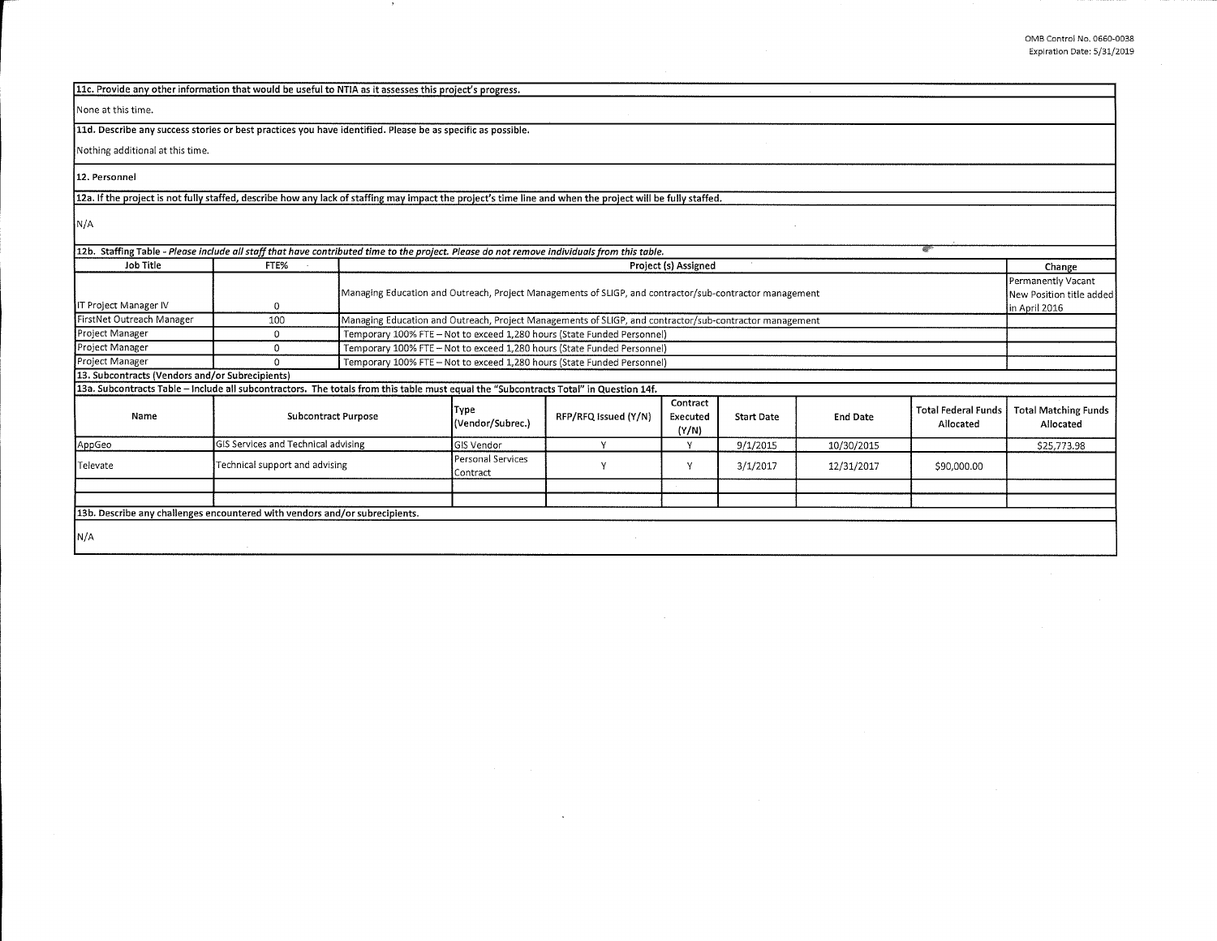| 11c. Provide any other information that would be useful to NTIA as it assesses this project's progress.                                                    |                                     |                                                                                                                          |                                                                         |                      |                               |                   |                 |                                                |                                          |
|------------------------------------------------------------------------------------------------------------------------------------------------------------|-------------------------------------|--------------------------------------------------------------------------------------------------------------------------|-------------------------------------------------------------------------|----------------------|-------------------------------|-------------------|-----------------|------------------------------------------------|------------------------------------------|
| None at this time.                                                                                                                                         |                                     |                                                                                                                          |                                                                         |                      |                               |                   |                 |                                                |                                          |
| 11d. Describe any success stories or best practices you have identified. Please be as specific as possible.                                                |                                     |                                                                                                                          |                                                                         |                      |                               |                   |                 |                                                |                                          |
| Nothing additional at this time.                                                                                                                           |                                     |                                                                                                                          |                                                                         |                      |                               |                   |                 |                                                |                                          |
| 12. Personnel                                                                                                                                              |                                     |                                                                                                                          |                                                                         |                      |                               |                   |                 |                                                |                                          |
| 12a. If the project is not fully staffed, describe how any lack of staffing may impact the project's time line and when the project will be fully staffed. |                                     |                                                                                                                          |                                                                         |                      |                               |                   |                 |                                                |                                          |
| N/A                                                                                                                                                        |                                     |                                                                                                                          |                                                                         |                      |                               |                   |                 |                                                |                                          |
| 12b. Staffing Table - Please include all staff that have contributed time to the project. Please do not remove individuals from this table.                |                                     |                                                                                                                          |                                                                         |                      |                               |                   |                 |                                                |                                          |
| Job Title                                                                                                                                                  | FTE%                                |                                                                                                                          |                                                                         |                      | Project (s) Assigned          |                   |                 |                                                | Change                                   |
| IT Project Manager IV                                                                                                                                      | 0                                   | Managing Education and Outreach, Project Managements of SLIGP, and contractor/sub-contractor management                  |                                                                         |                      |                               |                   |                 | Permanently Vacant<br>New Position title added |                                          |
| FirstNet Outreach Manager                                                                                                                                  | 100                                 | in April 2016<br>Managing Education and Outreach, Project Managements of SLIGP, and contractor/sub-contractor management |                                                                         |                      |                               |                   |                 |                                                |                                          |
| Project Manager                                                                                                                                            | 0                                   |                                                                                                                          | Temporary 100% FTE - Not to exceed 1,280 hours (State Funded Personnel) |                      |                               |                   |                 |                                                |                                          |
| Project Manager                                                                                                                                            | 0                                   | Temporary 100% FTE - Not to exceed 1,280 hours (State Funded Personnel)                                                  |                                                                         |                      |                               |                   |                 |                                                |                                          |
| Project Manager                                                                                                                                            | $\Omega$                            | Temporary 100% FTE - Not to exceed 1,280 hours (State Funded Personnel)                                                  |                                                                         |                      |                               |                   |                 |                                                |                                          |
| [13. Subcontracts (Vendors and/or Subrecipients)                                                                                                           |                                     |                                                                                                                          |                                                                         |                      |                               |                   |                 |                                                |                                          |
| 13a. Subcontracts Table - include all subcontractors. The totals from this table must equal the "Subcontracts Total" in Question 14f.                      |                                     |                                                                                                                          |                                                                         |                      |                               |                   |                 |                                                |                                          |
| Name                                                                                                                                                       | <b>Subcontract Purpose</b>          |                                                                                                                          | Type<br>(Vendor/Subrec.)                                                | RFP/RFQ issued (Y/N) | Contract<br>Executed<br>(Y/N) | <b>Start Date</b> | <b>End Date</b> | <b>Total Federal Funds</b><br>Allocated        | <b>Total Matching Funds</b><br>Allocated |
| AppGeo                                                                                                                                                     | GIS Services and Technical advising |                                                                                                                          | <b>GIS Vendor</b>                                                       | Y                    | Y                             | 9/1/2015          | 10/30/2015      |                                                | \$25,773.98                              |
| Televate                                                                                                                                                   | Technical support and advising      |                                                                                                                          | Personal Services<br>Contract                                           | Υ                    | Y                             | 3/1/2017          | 12/31/2017      | \$90,000.00                                    |                                          |
|                                                                                                                                                            |                                     |                                                                                                                          |                                                                         |                      |                               |                   |                 |                                                |                                          |
|                                                                                                                                                            |                                     |                                                                                                                          |                                                                         |                      |                               |                   |                 |                                                |                                          |
| 13b. Describe any challenges encountered with vendors and/or subrecipients.                                                                                |                                     |                                                                                                                          |                                                                         |                      |                               |                   |                 |                                                |                                          |
| N/A                                                                                                                                                        |                                     |                                                                                                                          |                                                                         |                      |                               |                   |                 |                                                |                                          |

 $\sim$ 

 $\,$